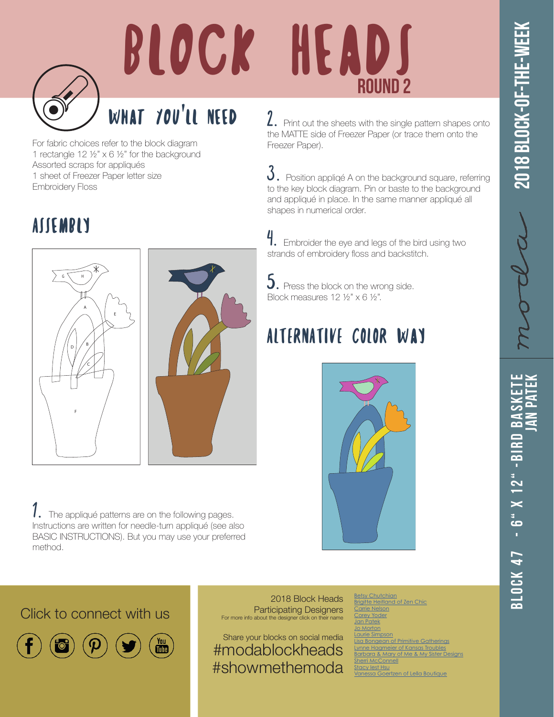

## What You'll Need

For fabric choices refer to the block diagram 1 rectangle 12 ½" x 6 ½" for the background Assorted scraps for appliqués 1 sheet of Freezer Paper letter size Embroidery Floss

## **ASSEMBLY**



The appliqué patterns are on the following pages. Instructions are written for needle-turn appliqué (see also BASIC INSTRUCTIONS). But you may use your preferred method.

2. Print out the sheets with the single pattern shapes onto the MATTE side of Freezer Paper (or trace them onto the Freezer Paper).

 $3.$  Position appliqé A on the background square, referring to the key block diagram. Pin or baste to the background and appliqué in place. In the same manner appliqué all shapes in numerical order.

4. Embroider the eye and legs of the bird using two strands of embroidery floss and backstitch.

 $5.$  Press the block on the wrong side. Block measures 12 ½" x 6 ½".

## ALTERNATIVE COLOR Way



Click to connect with us



 $\frac{Y_{\text{OU}}}{Y_{\text{UU}}}$ 

2018 Block Heads Participating Designers For more info about the designer click on the

Share your blocks on social media #modablockheads #showmethemoda

[Betsy Chutchian](http://betsysbestquiltsandmore.blogspot.de) rigitte Heitland [Carrie Nelson](http://blog.modafabrics.com/) Yoder [Jan Patek](http://janpatek.blogspot.com/) [Jo Morton](http://jomortonquilts.com/jos_journal/) Simpson manaton<br>[Lisa Bongean of Primitive Gatherings](https://lisabongean.com/) [Lynne Hagmeier of Kansas Troubles](http://kansastroublesquilters-lynne.blogspot.de) arbara & Mary of [Sherri McConnell](http://www.aquiltinglife.com) zy lest Hsu **Vanco Goertzen of Lella Boutique** 

 Block 47 - 6" x 12" -Bird Baskete **Jan Patek** BLOCK 47 - 6" X 12" -BIRD BA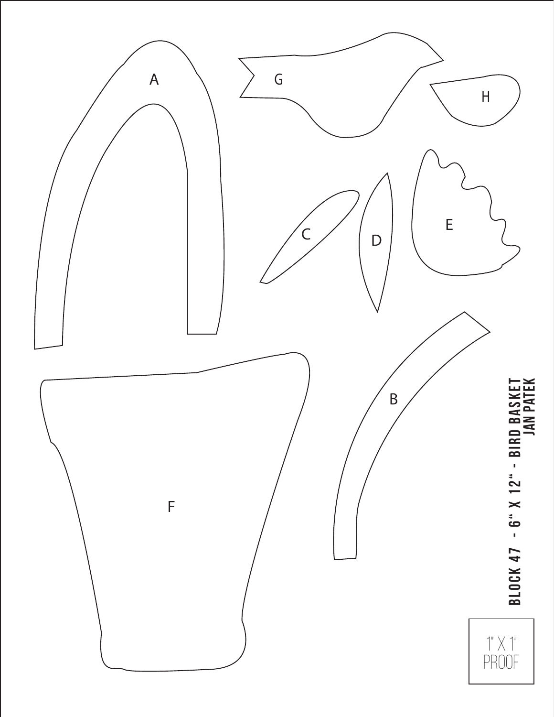